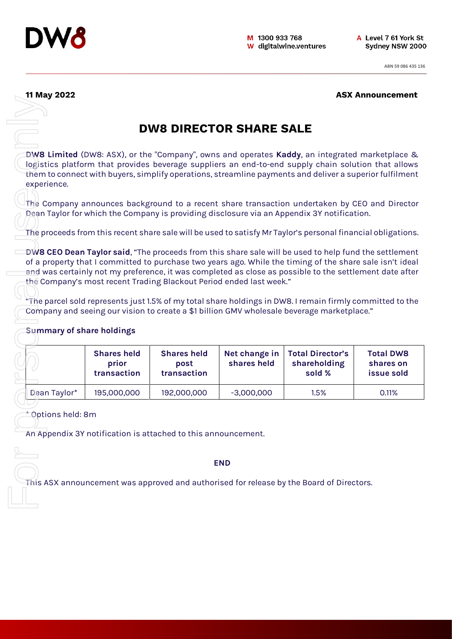

**11 May 2022 ASX Announcement** 

## **DW8 DIRECTOR SHARE SALE**

### **Summary of share holdings**

|                                  |                                            | <b>DW8 DIRECTOR SHARE SALE</b>            |                                                                                                     |                                                                                                                                                                                                                                                                                                                  |                                             |
|----------------------------------|--------------------------------------------|-------------------------------------------|-----------------------------------------------------------------------------------------------------|------------------------------------------------------------------------------------------------------------------------------------------------------------------------------------------------------------------------------------------------------------------------------------------------------------------|---------------------------------------------|
|                                  |                                            |                                           |                                                                                                     |                                                                                                                                                                                                                                                                                                                  |                                             |
| experience.                      |                                            |                                           |                                                                                                     | DW8 Limited (DW8: ASX), or the "Company", owns and operates Kaddy, an integrated marketplace &<br>logistics platform that provides beverage suppliers an end-to-end supply chain solution that allows<br>them to connect with buyers, simplify operations, streamline payments and deliver a superior fulfilment |                                             |
|                                  |                                            |                                           |                                                                                                     | The Company announces background to a recent share transaction undertaken by CEO and Director<br>Dean Taylor for which the Company is providing disclosure via an Appendix 3Y notification.                                                                                                                      |                                             |
|                                  |                                            |                                           |                                                                                                     |                                                                                                                                                                                                                                                                                                                  |                                             |
|                                  |                                            |                                           |                                                                                                     | The proceeds from this recent share sale will be used to satisfy Mr Taylor's personal financial obligations.                                                                                                                                                                                                     |                                             |
|                                  |                                            |                                           |                                                                                                     | of a property that I committed to purchase two years ago. While the timing of the share sale isn't ideal<br>and was certainly not my preference, it was completed as close as possible to the settlement date after                                                                                              |                                             |
| <b>Summary of share holdings</b> | <b>Shares held</b><br>prior<br>transaction | <b>Shares held</b><br>post<br>transaction | the Company's most recent Trading Blackout Period ended last week."<br>Net change in<br>shares held | "The parcel sold represents just 1.5% of my total share holdings in DW8. I remain firmly committed to the<br>Company and seeing our vision to create a \$1 billion GMV wholesale beverage marketplace."<br><b>Total Director's</b><br>shareholding<br>sold %                                                     | <b>Total DW8</b><br>shares on<br>issue sold |
| Dean Taylor*                     | 195,000,000                                | 192,000,000                               | $-3,000,000$                                                                                        | 1.5%                                                                                                                                                                                                                                                                                                             | 0.11%                                       |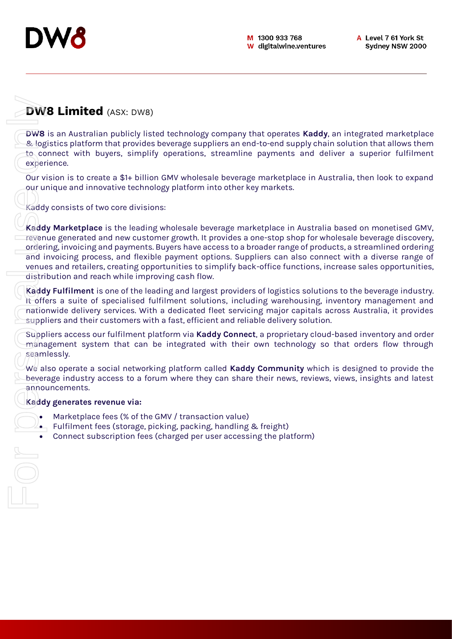

# **DW8 Limited** (ASX: DW8)

**DW8** is an Australian publicly listed technology company that operates **Kaddy**, an integrated marketplace & logistics platform that provides beverage suppliers an end-to-end supply chain solution that allows them to connect with buyers, simplify operations, streamline payments and deliver a superior fulfilment experience.

Our vision is to create a \$1+ billion GMV wholesale beverage marketplace in Australia, then look to expand our unique and innovative technology platform into other key markets.

Kaddy consists of two core divisions:

**Kaddy Marketplace** is the leading wholesale beverage marketplace in Australia based on monetised GMV, revenue generated and new customer growth. It provides a one-stop shop for wholesale beverage discovery, ordering, invoicing and payments. Buyers have access to a broader range of products, a streamlined ordering and invoicing process, and flexible payment options. Suppliers can also connect with a diverse range of venues and retailers, creating opportunities to simplify back-office functions, increase sales opportunities, distribution and reach while improving cash flow. **EXECUTE CONSCUTE AND ACCES**<br> **EXECUTE SUBSCRIPT CONSCUTE SUBSCRIPT** (Connect with buyers, simplify operations, streamline payments and<br>
the connect with buyers, simplify operations, streamline payments and<br>
Correct with b

**Kaddy Fulfilment** is one of the leading and largest providers of logistics solutions to the beverage industry. It offers a suite of specialised fulfilment solutions, including warehousing, inventory management and nationwide delivery services. With a dedicated fleet servicing major capitals across Australia, it provides suppliers and their customers with a fast, efficient and reliable delivery solution.

Suppliers access our fulfilment platform via **Kaddy Connect**, a proprietary cloud-based inventory and order management system that can be integrated with their own technology so that orders flow through seamlessly.

We also operate a social networking platform called **Kaddy Community** which is designed to provide the beverage industry access to a forum where they can share their news, reviews, views, insights and latest announcements.

### **Kaddy generates revenue via:**

- Marketplace fees (% of the GMV / transaction value)
- Fulfilment fees (storage, picking, packing, handling & freight)
-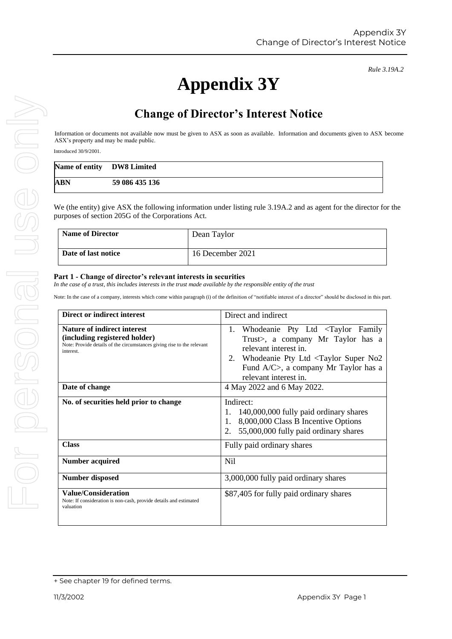# **Appendix 3Y**

# **Change of Director's Interest Notice**

Information or documents not available now must be given to ASX as soon as available. Information and documents given to ASX become ASX's property and may be made public.

Introduced 30/9/2001.

| Name of entity DW8 Limited |                |
|----------------------------|----------------|
| ABN                        | 59 086 435 136 |

We (the entity) give ASX the following information under listing rule 3.19A.2 and as agent for the director for the purposes of section 205G of the Corporations Act.

| <b>Name of Director</b> | Dean Taylor      |
|-------------------------|------------------|
| Date of last notice     | 16 December 2021 |

### **Part 1 - Change of director's relevant interests in securities**

*In the case of a trust, this includes interests in the trust made available by the responsible entity of the trust*

Note: In the case of a company, interests which come within paragraph (i) of the definition of "notifiable interest of a director" should be disclosed in this part.

| Direct or indirect interest                                                                                                                         | Direct and indirect                                                                                                                                                                                                                              |
|-----------------------------------------------------------------------------------------------------------------------------------------------------|--------------------------------------------------------------------------------------------------------------------------------------------------------------------------------------------------------------------------------------------------|
| Nature of indirect interest<br>(including registered holder)<br>Note: Provide details of the circumstances giving rise to the relevant<br>interest. | 1. Whodeanie Pty Ltd <taylor family<br="">Trust&gt;, a company Mr Taylor has a<br/>relevant interest in.<br/>2. Whodeanie Pty Ltd <taylor no2<br="" super="">Fund A/C&gt;, a company Mr Taylor has a<br/>relevant interest in.</taylor></taylor> |
| Date of change                                                                                                                                      | 4 May 2022 and 6 May 2022.                                                                                                                                                                                                                       |
| No. of securities held prior to change                                                                                                              | Indirect:<br>140,000,000 fully paid ordinary shares<br>8,000,000 Class B Incentive Options<br>1.<br>55,000,000 fully paid ordinary shares                                                                                                        |
| <b>Class</b>                                                                                                                                        | Fully paid ordinary shares                                                                                                                                                                                                                       |
| <b>Number acquired</b>                                                                                                                              | Nil                                                                                                                                                                                                                                              |
| <b>Number disposed</b>                                                                                                                              | 3,000,000 fully paid ordinary shares                                                                                                                                                                                                             |
| <b>Value/Consideration</b><br>Note: If consideration is non-cash, provide details and estimated<br>valuation                                        | \$87,405 for fully paid ordinary shares                                                                                                                                                                                                          |

*Rule 3.19A.2*

<sup>+</sup> See chapter 19 for defined terms.